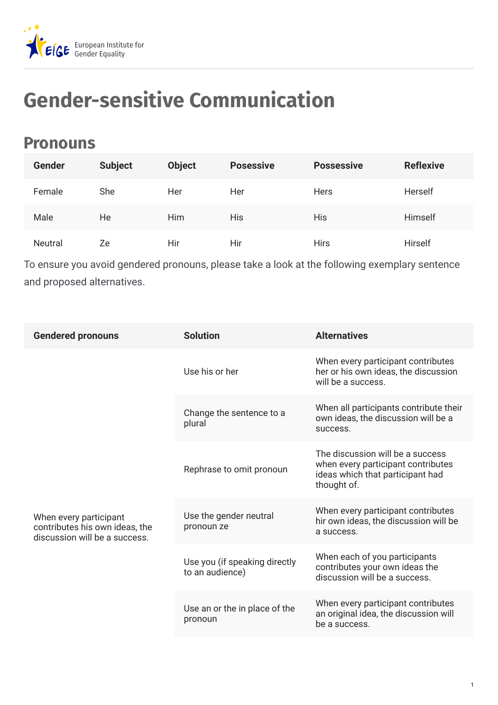

## **Gender-sensitive Communication**

## **Pronouns**

| <b>Gender</b>  | <b>Subject</b> | <b>Object</b> | <b>Posessive</b> | <b>Possessive</b> | <b>Reflexive</b> |
|----------------|----------------|---------------|------------------|-------------------|------------------|
| Female         | She            | Her           | Her              | <b>Hers</b>       | Herself          |
| Male           | He             | <b>Him</b>    | <b>His</b>       | <b>His</b>        | Himself          |
| <b>Neutral</b> | Ze             | Hir           | Hir              | <b>Hirs</b>       | Hirself          |

To ensure you avoid gendered pronouns, please take a look at the following exemplary sentence and proposed alternatives.

| <b>Gendered pronouns</b>                                                                  | <b>Solution</b>                                  | <b>Alternatives</b>                                                                                                       |
|-------------------------------------------------------------------------------------------|--------------------------------------------------|---------------------------------------------------------------------------------------------------------------------------|
|                                                                                           | Use his or her                                   | When every participant contributes<br>her or his own ideas, the discussion<br>will be a success.                          |
|                                                                                           | Change the sentence to a<br>plural               | When all participants contribute their<br>own ideas, the discussion will be a<br>success.                                 |
|                                                                                           | Rephrase to omit pronoun                         | The discussion will be a success<br>when every participant contributes<br>ideas which that participant had<br>thought of. |
| When every participant<br>contributes his own ideas, the<br>discussion will be a success. | Use the gender neutral<br>pronoun ze             | When every participant contributes<br>hir own ideas, the discussion will be<br>a success.                                 |
|                                                                                           | Use you (if speaking directly<br>to an audience) | When each of you participants<br>contributes your own ideas the<br>discussion will be a success.                          |
|                                                                                           | Use an or the in place of the<br>pronoun         | When every participant contributes<br>an original idea, the discussion will<br>be a success.                              |